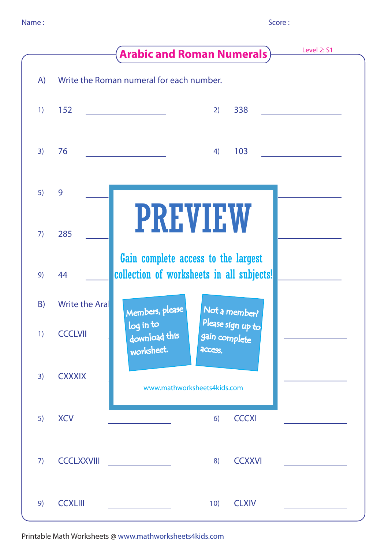|  | i |  |
|--|---|--|

|    |                       | Level 2: S1<br><b>Arabic and Roman Numerals</b> )                                         |
|----|-----------------------|-------------------------------------------------------------------------------------------|
| A) |                       | Write the Roman numeral for each number.                                                  |
| 1) | 152                   | 338<br>2)                                                                                 |
| 3) | 76                    | 103<br>4)                                                                                 |
| 5) | 9                     |                                                                                           |
| 7) | 285                   | <b>PREVIEW</b>                                                                            |
| 9) | 44                    | Gain complete access to the largest<br>collection of worksheets in all subjects!          |
| B) | <b>Write the Aral</b> | Members, please<br>Not a member?                                                          |
| 1) | <b>CCCLVII</b>        | Please sign up to<br>log in to<br>download this<br>gain complete<br>worksheet.<br>access. |
| 3) | <b>CXXXIX</b>         | www.mathworksheets4kids.com                                                               |
| 5) | <b>XCV</b>            | <b>CCCXI</b><br>6)                                                                        |
| 7) | <b>CCCLXXVIII</b>     | <b>CCXXVI</b><br>8)                                                                       |
| 9) | <b>CCXLIII</b>        | <b>CLXIV</b><br>10)                                                                       |

Printable Math Worksheets @ www.mathworksheets4kids.com